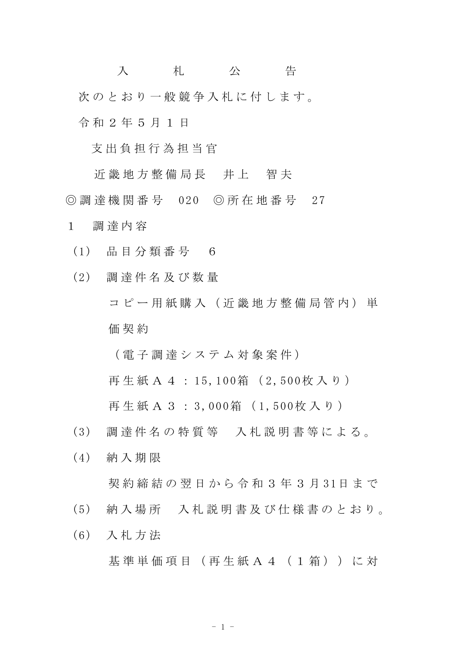入 札 公 告 次のとおり一般競争入札に付します。 令 和 2 年 5 月 1 日

支 出 負 担 行 為 担 当 官

近 畿 地 方 整 備 局 長 并 上 智 夫 ◎ 調 達 機 関 番 号 020 ◎ 所 在 地 番 号 27

- 1 調 達 内 容
- (1) 品 目 分 類 番 号 6
- (2) 調 達 件 名 及 び 数 量 コピー用紙購入(近畿地方整備局管内)単 価 契 約

( 電 子 調 達 シ ス テ ム 対 象 案 件 )

再 生 紙 A 4 : 15, 100箱 ( 2, 500枚 入 り )

再生紙 A 3: 3,000箱 (1,500枚入り)

- (3) 調 達 件 名 の 特 質 等 入 札 説 明 書 等 に よ る 。
- (4) 納 入 期 限 契 約 締 結 の 翌 日 か ら 令 和 3 年 3 月 31日 ま で
- (5) 納 入 場 所 入 札 説 明 書 及 び 仕 様 書 の と お り 。
- (6) 入 札 方 法

基 準 単 価 項 目 ( 再 生 紙 A 4 ( 1 箱 ) ) に 対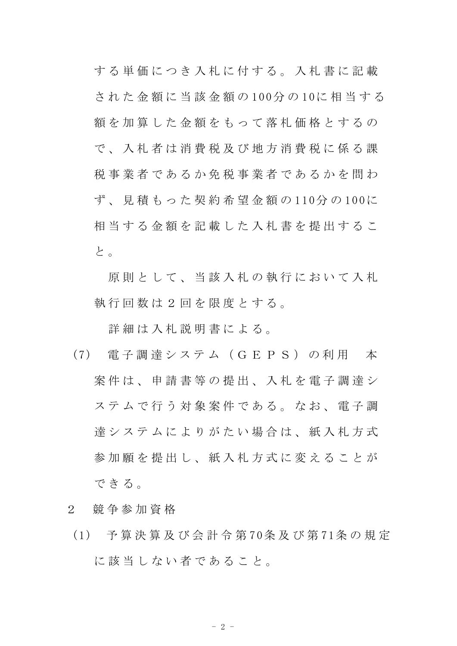する単価につき入札に付する。入札書に記載 さ れ た 金 額 に 当 該 金 額 の 100分 の 10に 相 当 す る 額を加算した金額をもって落札価格とするの で 、 入 札 者 は 消 費 税 及 び 地 方 消 費 税 に 係 る 課 税事業者であるか免税事業者であるかを問わ ず 、 見 積 も っ た 契 約 希 望 金 額 の 110分 の 100に 相当する金額を記載した入札書を提出するこ と 。

原則として、当該入札の執行において入札 執 行 回 数 は 2 回 を 限 度 と す る 。

詳細は入札説明書による。

- (7) 電 子 調 達 シ ス テ ム ( G E P S ) の 利 用 本 案 件 は 、 申 請 書 等 の 提 出 、 入 札 を 電 子 調 達 シ ステムで行う対象案件である。なお、電子調 達 シ ス テ ム に よ り が た い 場 合 は 、 紙 入 札 方 式 参加願を提出し、紙入札方式に変えることが で き る 。
- 2 競 争 参 加 資 格
- (1) 予 算 決 算 及 び 会 計 令 第 70条 及 び 第 71条 の 規 定 に該当しない者であること。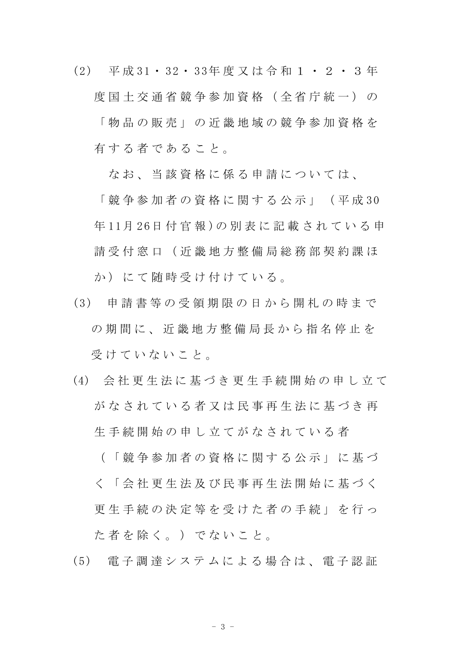(2) 平 成 31・ 32・ 33年 度 又 は 令 和 1 ・ 2 ・ 3 年 度 国 十 交 通 省 競 争 参 加 資 格 ( 全 省 庁 統 一 ) の 「 物 品 の 販 売 」 の 近 畿 地 域 の 競 争 参 加 資 格 を 有する者であること。

なお、当該資格に係る申請については、

「 競 争 参 加 者 の 資 格 に 関 す る 公 示 」 ( 平 成 30 年 11月 26日 付 官 報 )の 別 表 に 記 載 さ れ て い る 申 請 受 付 窓 口 ( 近 畿 地 方 整 備 局 総 務 部 契 約 課 ほ か)にて随時受け付けている。

- (3) 申 請 書 等 の 受 領 期 限 の 日 か ら 開 札 の 時 ま で の 期 間 に 、 近 畿 地 方 整 備 局 長 か ら 指 名 停 止 を 受けていないこと。
- (4) 会 社 更 生 法 に 基 づ き 更 生 手 続 開 始 の 申 し 立 て がなされている者又は民事再生法に基づき再 生 手 続 開 始 の 申 し 立 て が な さ れ て い る 者

( 「 競 争 参 加 者 の 資 格 に 関 す る 公 示 」 に 基 づ く 「 会 社 更 生 法 及 び 民 事 再 生 法 開 始 に 基 づ く 更 生 手 続 の 決 定 等 を 受 け た 者 の 手 続 」 を 行 っ た 者 を 除 く 。 ) で な い こ と 。

(5) 電 子 調 達 シ ス テ ム に よ る 場 合 は 、 電 子 認 証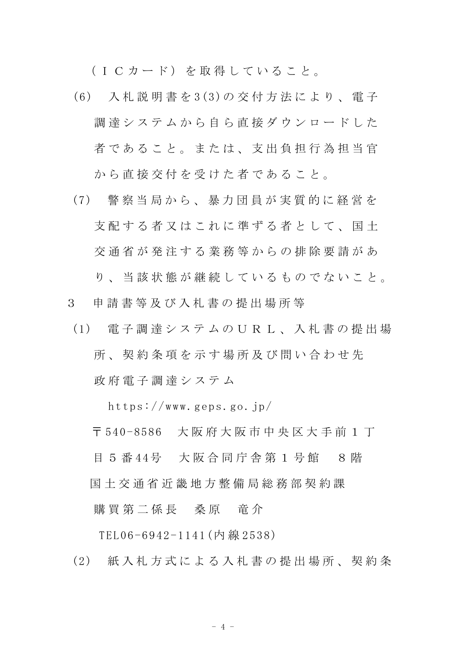(ICカード)を取得していること。

- (6) 入 札 説 明 書 を 3(3)の 交 付 方 法 に よ り 、 電 子 調達システムから自ら直接ダウンロードした 者であること。または、支出負担行為担当官 から直接交付を受けた者であること。
- (7) 警 察 当 局 か ら 、 暴 力 団 員 が 実 質 的 に 経 営 を 支 配 す る 者 又 は こ れ に 準 ず る 者 と し て 、 国 十 交 通 省 が 発 注 す る 業 務 等 か ら の 排 除 要 請 が あ り、当該状態が継続しているものでないこと。
- 3 申 請 書 等 及 び 入 札 書 の 提 出 場 所 等
- (1) 電 子 調 達 シ ス テ ム の U R L 、 入 札 書 の 提 出 場 所 、 契 約 条 項 を 示 す 場 所 及 び 問 い 合 わ せ 先 政 府 電 子 調 達 シ ス テ ム

https://www.geps.go.jp/

〒 540-8586 大 阪 府 大 阪 市 中 央 区 大 手 前 1 丁

目 5 番 44号 大阪合同庁舎第 1 号館 8 階

国 土 交 通 省 近 畿 地 方 整 備 局 総 務 部 契 約 課

購買第二係長 桑原 竜介

TEL06-6942-1141(内 線 2538)

(2) 紙入札方式による入札書の提出場所、契約条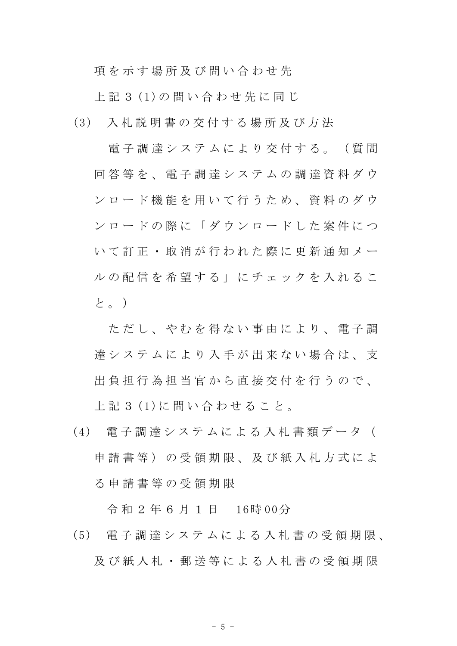項を示す場所及び問い合わせ先

上 記 3 (1)の 問 い 合 わ せ 先 に 同 じ

(3) 入 札 説 明 書 の 交 付 す る 場 所 及 び 方 法

電子調達システムにより交付する。(質問 回 答 等 を 、 電 子 調 達 シ ス テ ム の 調 達 資 料 ダ ウ ン ロ ー ド 機 能 を 用 い て 行 う た め 、 資 料 の ダ ウ ン ロ ー ド の 際 に 「 ダ ウ ン ロ ー ド し た 案 件 に つ い て 訂 正 ・ 取 消 が 行 わ れ た 際 に 更 新 通 知 メ ー ル の 配 信 を 希 望 す る 」 に チ ェ ッ ク を 入 れ る こ と。)

ただし、 や れ を 得 な い 事 由 に よ り 、 雷 子 調 達 シ ス テ ム に よ り 入 手 が 出 来 な い 場 合 は 、 支 出 負 担 行 為 担 当 官 か ら 直 接 交 付 を 行 う の で 、 上 記 3 (1)に 問 い 合 わ せ る こ と 。

(4) 電 子 調 達 シ ス テ ム に よ る 入 札 書 類 デ ー タ ( 申請書等)の受領期限、及び紙入札方式によ る 申 請 書 等 の 受 領 期 限

令 和 2 年 6 月 1 日 16時 00分

(5) 電 子 調 達 シ ス テ ム に よ る 入 札 書 の 受 領 期 限 、 及 び 紙 入 札 ・ 郵 送 等 に よ る 入 札 書 の 受 領 期 限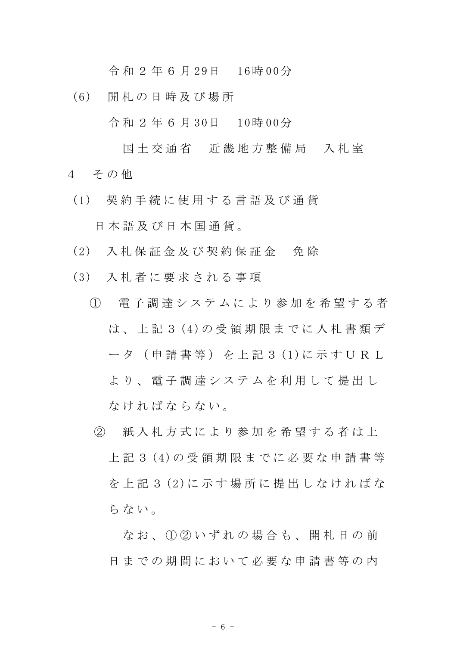令 和 2 年 6 月 29日 16時 00分

(6) 開 札 の 日 時 及 び 場 所

令 和 2 年 6 月 30日 10時 00分

- 国土交通省 近畿地方整備局 入札室 4 その他
	- (1) 契 約 手 続 に 使 用 す る 言 語 及 び 通 貨 日 本 語 及 び 日 本 国 通 貨 。
	- (2) 入 札 保 証 金 及 び 契 約 保 証 金 免 除
	- (3) 入 札 者 に 要 求 さ れ る 事 項
		- ① 電 子 調 達 シ ス テ ム に よ り 参 加 を 希 望 す る 者 は 、 上 記 3 (4)の 受 領 期 限 ま で に 入 札 書 類 デ ータ (申請書等) を上記 3 (1)に示す U R L よ り 、 電 子 調 達 シ ス テ ム を 利 用 し て 提 出 し な け れ ば な ら な い 。
			- ② 紙 入 札 方 式 に よ り 参 加 を 希 望 す る 者 は 上 上 記 3 (4)の 受 領 期 限 ま で に 必 要 な 申 請 書 等 を 上 記 3 (2)に 示 す 場 所 に 提 出 し な け れ ば な らない。

なお、1020いずれの場合も、開札日の前 日までの期間において必要な申請書等の内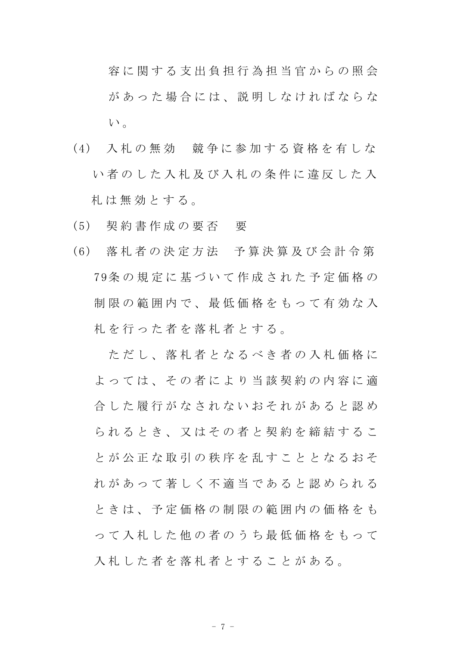容 に 関 す る 支 出 負 担 行 為 担 当 官 か ら の 照 会 があった場合には、説明しなければならな い。

- (4) 入 札 の 無 効 競 争 に 参 加 す る 資 格 を 有 し な い者のした入札及び入札の条件に違反した入 札 は 無 効 と す る 。
- (5) 契 約 書 作 成 の 要 否 要
- (6) 落 札 者 の 決 定 方 法 予 算 決 算 及 び 会 計 令 第 79条 の 規 定 に 基 づ い て 作 成 さ れ た 予 定 価 格 の 制限の範囲内で、最低価格をもって有効な入 札を行った者を落札者とする。

ただし、落札者となるべき者の入札価格に よっては、その者により当該契約の内容に適 合 した 履 行 が な さ れ な い お そ れ が あ る と 認 め ら れ る と き 、 又 は そ の 者 と 契 約 を 締 結 す る こ と が 公 正 な 取 引 の 秩 序 を 乱 す こ と と な る お そ れ が あ っ て 著 し く 不 適 当 で あ る と 認 め ら れ る と き は 、 予 定 価 格 の 制 限 の 範 囲 内 の 価 格 を も っ て 入 札 し た 他 の 者 の う ち 最 低 価 格 を も っ て 入札した者を落札者とすることがある。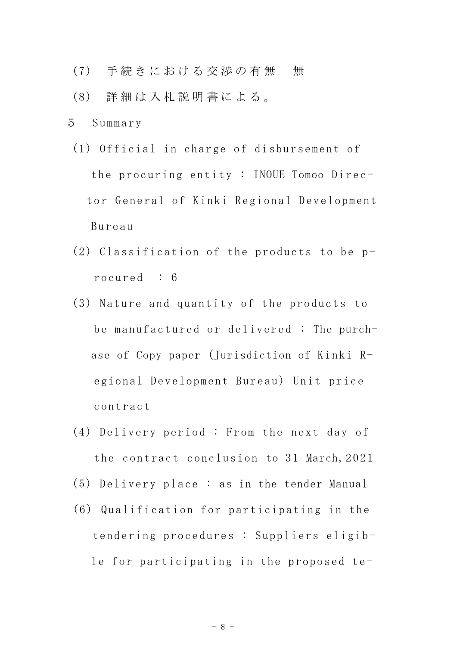- (7) 手続きにおける交渉の有無 無
- (8) 詳 細 は 入 札 説 明 書 に よ る 。
- 5 Summary
- (1) Official in charge of disbursement of the procuring entity : INOUE Tomoo Director General of Kinki Regional Development Bureau
- (2) Classification of the products to be procured : 6
- (3) Nature and quantity of the products to be manufactured or delivered : The purchase of Copy paper (Jurisdiction of Kinki Regional Development Bureau) Unit price contract
- (4) Delivery period : From the next day of the contract conclusion to 31 March,2021
- (5) Delivery place : as in the tender Manual
- (6) Qualification for participating in the tendering procedures : Suppliers eligible for participating in the proposed te-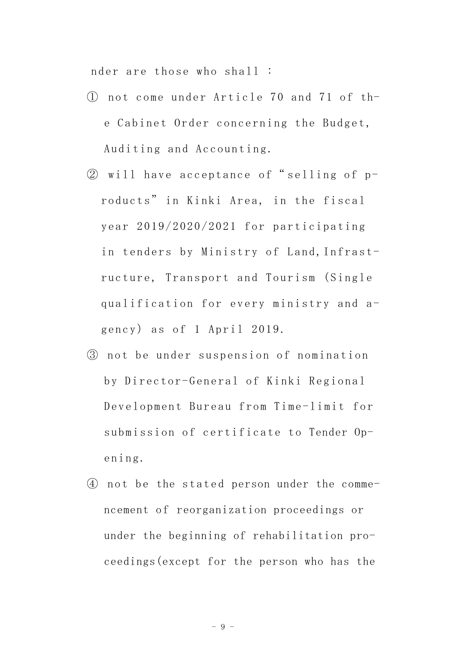nder are those who shall :

- ① not come under Article 70 and 71 of the Cabinet Order concerning the Budget, Auditing and Accounting.
- ② will have acceptance of" selling of products" in Kinki Area, in the fiscal year 2019/2020/2021 for participating in tenders by Ministry of Land,Infrastructure, Transport and Tourism (Single qualification for every ministry and agency) as of 1 April 2019.
- ③ not be under suspension of nomination by Director-General of Kinki Regional Development Bureau from Time-limit for submission of certificate to Tender Opening.
- ④ not be the stated person under the commencement of reorganization proceedings or under the beginning of rehabilitation proceedings(except for the person who has the

- 9 -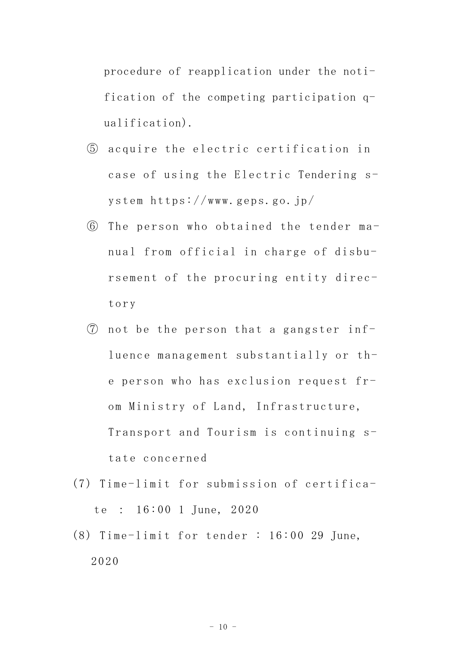procedure of reapplication under the notification of the competing participation qualification).

- ⑤ acquire the electric certification in case of using the Electric Tendering system https://www.geps.go.jp/
- ⑥ The person who obtained the tender manual from official in charge of disbursement of the procuring entity directory
- ⑦ not be the person that a gangster influence management substantially or the person who has exclusion request from Ministry of Land, Infrastructure, Transport and Tourism is continuing state concerned
- (7) Time-limit for submission of certificate : 16:00 1 June, 2020
- (8) Time-limit for tender : 16:00 29 June, 2020